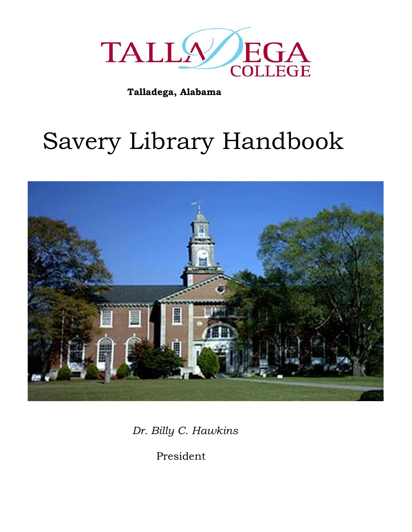

**Talladega, Alabama**

# Savery Library Handbook



*Dr. Billy C. Hawkins*

President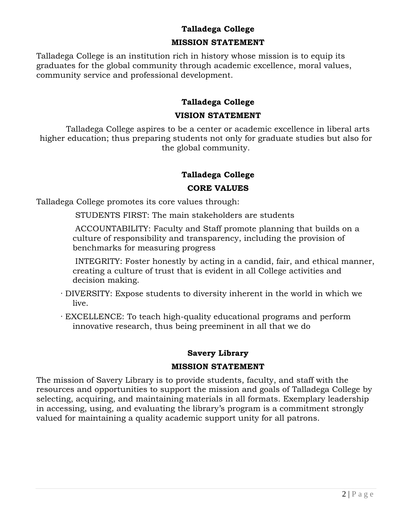#### **Talladega College**

#### **MISSION STATEMENT**

Talladega College is an institution rich in history whose mission is to equip its graduates for the global community through academic excellence, moral values, community service and professional development.

#### **Talladega College**

#### **VISION STATEMENT**

Talladega College aspires to be a center or academic excellence in liberal arts higher education; thus preparing students not only for graduate studies but also for the global community.

### **Talladega College**

#### **CORE VALUES**

Talladega College promotes its core values through:

STUDENTS FIRST: The main stakeholders are students

ACCOUNTABILITY: Faculty and Staff promote planning that builds on a culture of responsibility and transparency, including the provision of benchmarks for measuring progress

INTEGRITY: Foster honestly by acting in a candid, fair, and ethical manner, creating a culture of trust that is evident in all College activities and decision making.

- · DIVERSITY: Expose students to diversity inherent in the world in which we live.
- · EXCELLENCE: To teach high-quality educational programs and perform innovative research, thus being preeminent in all that we do

#### **Savery Library**

#### **MISSION STATEMENT**

The mission of Savery Library is to provide students, faculty, and staff with the resources and opportunities to support the mission and goals of Talladega College by selecting, acquiring, and maintaining materials in all formats. Exemplary leadership in accessing, using, and evaluating the library's program is a commitment strongly valued for maintaining a quality academic support unity for all patrons.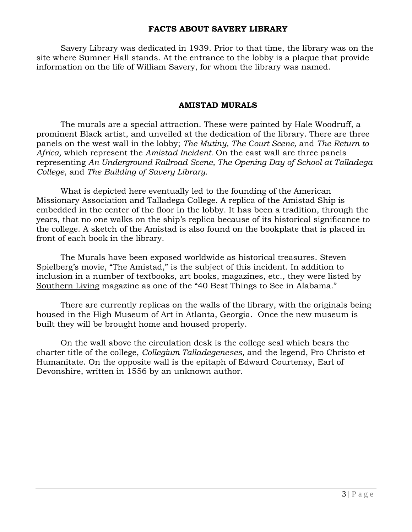#### **FACTS ABOUT SAVERY LIBRARY**

Savery Library was dedicated in 1939. Prior to that time, the library was on the site where Sumner Hall stands. At the entrance to the lobby is a plaque that provide information on the life of William Savery, for whom the library was named.

#### **AMISTAD MURALS**

The murals are a special attraction. These were painted by Hale Woodruff, a prominent Black artist, and unveiled at the dedication of the library. There are three panels on the west wall in the lobby; *The Mutiny, The Court Scene,* and *The Return to Africa,* which represent the *Amistad Incident.* On the east wall are three panels representing *An Underground Railroad Scene, The Opening Day of School at Talladega College*, and *The Building of Savery Library.*

What is depicted here eventually led to the founding of the American Missionary Association and Talladega College. A replica of the Amistad Ship is embedded in the center of the floor in the lobby. It has been a tradition, through the years, that no one walks on the ship's replica because of its historical significance to the college. A sketch of the Amistad is also found on the bookplate that is placed in front of each book in the library.

The Murals have been exposed worldwide as historical treasures. Steven Spielberg's movie, "The Amistad," is the subject of this incident. In addition to inclusion in a number of textbooks, art books, magazines, etc., they were listed by Southern Living magazine as one of the "40 Best Things to See in Alabama."

There are currently replicas on the walls of the library, with the originals being housed in the High Museum of Art in Atlanta, Georgia. Once the new museum is built they will be brought home and housed properly.

On the wall above the circulation desk is the college seal which bears the charter title of the college, *Collegium Talladegeneses,* and the legend, Pro Christo et Humanitate. On the opposite wall is the epitaph of Edward Courtenay, Earl of Devonshire, written in 1556 by an unknown author.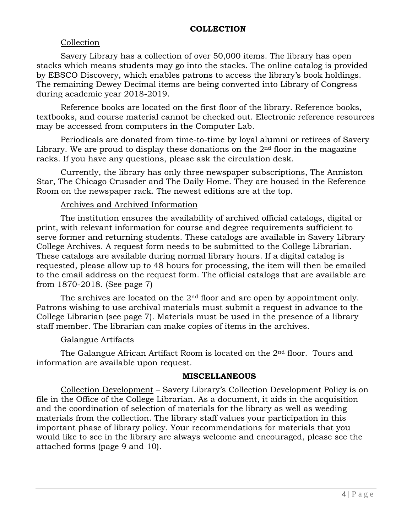#### **COLLECTION**

#### Collection

Savery Library has a collection of over 50,000 items. The library has open stacks which means students may go into the stacks. The online catalog is provided by EBSCO Discovery, which enables patrons to access the library's book holdings. The remaining Dewey Decimal items are being converted into Library of Congress during academic year 2018-2019.

Reference books are located on the first floor of the library. Reference books, textbooks, and course material cannot be checked out. Electronic reference resources may be accessed from computers in the Computer Lab.

Periodicals are donated from time-to-time by loyal alumni or retirees of Savery Library. We are proud to display these donations on the  $2<sup>nd</sup>$  floor in the magazine racks. If you have any questions, please ask the circulation desk.

Currently, the library has only three newspaper subscriptions, The Anniston Star, The Chicago Crusader and The Daily Home. They are housed in the Reference Room on the newspaper rack. The newest editions are at the top.

#### Archives and Archived Information

The institution ensures the availability of archived official catalogs, digital or print, with relevant information for course and degree requirements sufficient to serve former and returning students. These catalogs are available in Savery Library College Archives. A request form needs to be submitted to the College Librarian. These catalogs are available during normal library hours. If a digital catalog is requested, please allow up to 48 hours for processing, the item will then be emailed to the email address on the request form. The official catalogs that are available are from 1870-2018. (See page 7)

The archives are located on the  $2<sup>nd</sup>$  floor and are open by appointment only. Patrons wishing to use archival materials must submit a request in advance to the College Librarian (see page 7). Materials must be used in the presence of a library staff member. The librarian can make copies of items in the archives.

#### Galangue Artifacts

The Galangue African Artifact Room is located on the 2<sup>nd</sup> floor. Tours and information are available upon request.

#### **MISCELLANEOUS**

Collection Development – Savery Library's Collection Development Policy is on file in the Office of the College Librarian. As a document, it aids in the acquisition and the coordination of selection of materials for the library as well as weeding materials from the collection. The library staff values your participation in this important phase of library policy. Your recommendations for materials that you would like to see in the library are always welcome and encouraged, please see the attached forms (page 9 and 10).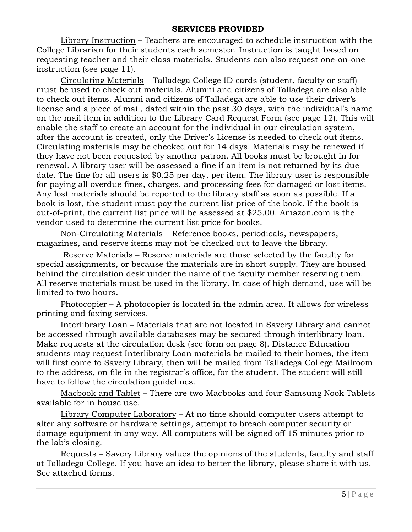#### **SERVICES PROVIDED**

Library Instruction – Teachers are encouraged to schedule instruction with the College Librarian for their students each semester. Instruction is taught based on requesting teacher and their class materials. Students can also request one-on-one instruction (see page 11).

Circulating Materials – Talladega College ID cards (student, faculty or staff) must be used to check out materials. Alumni and citizens of Talladega are also able to check out items. Alumni and citizens of Talladega are able to use their driver's license and a piece of mail, dated within the past 30 days, with the individual's name on the mail item in addition to the Library Card Request Form (see page 12). This will enable the staff to create an account for the individual in our circulation system, after the account is created, only the Driver's License is needed to check out items. Circulating materials may be checked out for 14 days. Materials may be renewed if they have not been requested by another patron. All books must be brought in for renewal. A library user will be assessed a fine if an item is not returned by its due date. The fine for all users is \$0.25 per day, per item. The library user is responsible for paying all overdue fines, charges, and processing fees for damaged or lost items. Any lost materials should be reported to the library staff as soon as possible. If a book is lost, the student must pay the current list price of the book. If the book is out-of-print, the current list price will be assessed at \$25.00. Amazon.com is the vendor used to determine the current list price for books.

Non-Circulating Materials – Reference books, periodicals, newspapers, magazines, and reserve items may not be checked out to leave the library.

Reserve Materials – Reserve materials are those selected by the faculty for special assignments, or because the materials are in short supply. They are housed behind the circulation desk under the name of the faculty member reserving them. All reserve materials must be used in the library. In case of high demand, use will be limited to two hours.

Photocopier – A photocopier is located in the admin area. It allows for wireless printing and faxing services.

Interlibrary Loan – Materials that are not located in Savery Library and cannot be accessed through available databases may be secured through interlibrary loan. Make requests at the circulation desk (see form on page 8). Distance Education students may request Interlibrary Loan materials be mailed to their homes, the item will first come to Savery Library, then will be mailed from Talladega College Mailroom to the address, on file in the registrar's office, for the student. The student will still have to follow the circulation guidelines.

Macbook and Tablet – There are two Macbooks and four Samsung Nook Tablets available for in house use.

Library Computer Laboratory – At no time should computer users attempt to alter any software or hardware settings, attempt to breach computer security or damage equipment in any way. All computers will be signed off 15 minutes prior to the lab's closing.

Requests – Savery Library values the opinions of the students, faculty and staff at Talladega College. If you have an idea to better the library, please share it with us. See attached forms.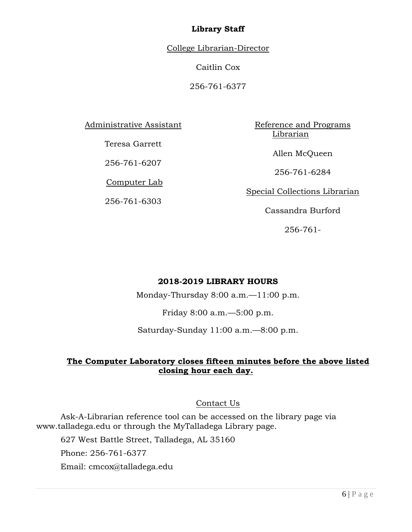#### **Library Staff**

College Librarian-Director

Caitlin Cox

256-761-6377

Administrative Assistant

Teresa Garrett

256-761-6207

Computer Lab

256-761-6303

Reference and Programs Librarian

Allen McQueen

256-761-6284

Special Collections Librarian

Cassandra Burford

256-761-

#### **2018-2019 LIBRARY HOURS**

Monday-Thursday 8:00 a.m.—11:00 p.m.

Friday 8:00 a.m.—5:00 p.m.

Saturday-Sunday 11:00 a.m.—8:00 p.m.

#### **The Computer Laboratory closes fifteen minutes before the above listed closing hour each day.**

#### Contact Us

Ask-A-Librarian reference tool can be accessed on the library page via www.talladega.edu or through the MyTalladega Library page.

627 West Battle Street, Talladega, AL 35160

Phone: 256-761-6377

Email: cmcox@talladega.edu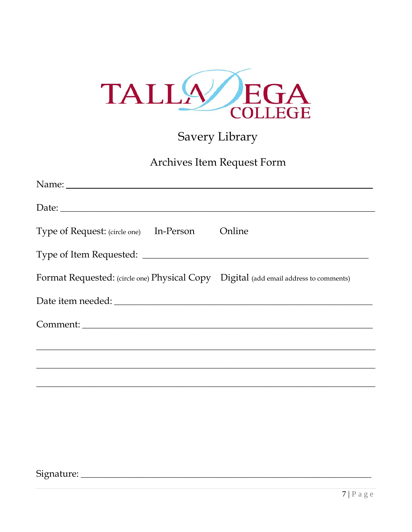

## Savery Library

### Archives Item Request Form

| Date:                                                                                |  |
|--------------------------------------------------------------------------------------|--|
| Type of Request: (circle one) In-Person Online                                       |  |
|                                                                                      |  |
| Format Requested: (circle one) Physical Copy Digital (add email address to comments) |  |
|                                                                                      |  |
|                                                                                      |  |
|                                                                                      |  |
|                                                                                      |  |
|                                                                                      |  |

####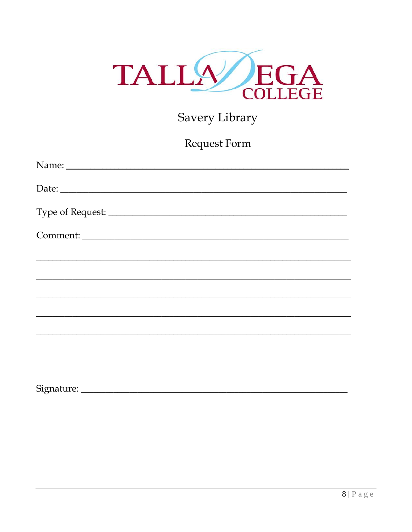

## Savery Library

Request Form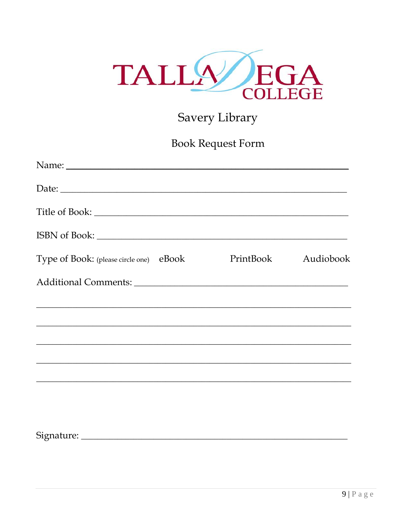

## Savery Library

## Book Request Form

| Date:                                   |  |                     |
|-----------------------------------------|--|---------------------|
|                                         |  |                     |
|                                         |  |                     |
| Type of Book: (please circle one) eBook |  | PrintBook Audiobook |
|                                         |  |                     |
|                                         |  |                     |
|                                         |  |                     |
|                                         |  |                     |
|                                         |  |                     |
|                                         |  |                     |
|                                         |  |                     |
| Signature:                              |  |                     |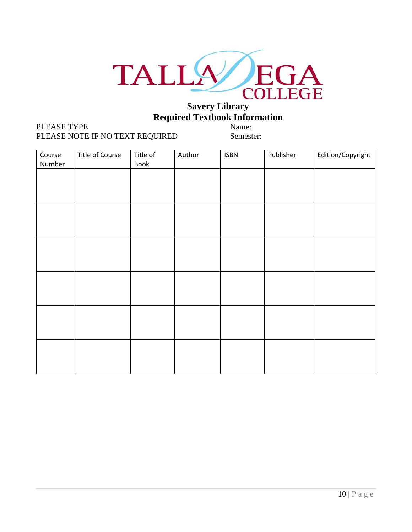

## **Required Textbook Information**

#### PLEASE TYPE Name: PLEASE NOTE IF NO TEXT REQUIRED Semester:

| Course<br>Number | Title of Course | Title of<br>Book | Author | <b>ISBN</b> | Publisher | Edition/Copyright |
|------------------|-----------------|------------------|--------|-------------|-----------|-------------------|
|                  |                 |                  |        |             |           |                   |
|                  |                 |                  |        |             |           |                   |
|                  |                 |                  |        |             |           |                   |
|                  |                 |                  |        |             |           |                   |
|                  |                 |                  |        |             |           |                   |
|                  |                 |                  |        |             |           |                   |
|                  |                 |                  |        |             |           |                   |
|                  |                 |                  |        |             |           |                   |
|                  |                 |                  |        |             |           |                   |
|                  |                 |                  |        |             |           |                   |
|                  |                 |                  |        |             |           |                   |
|                  |                 |                  |        |             |           |                   |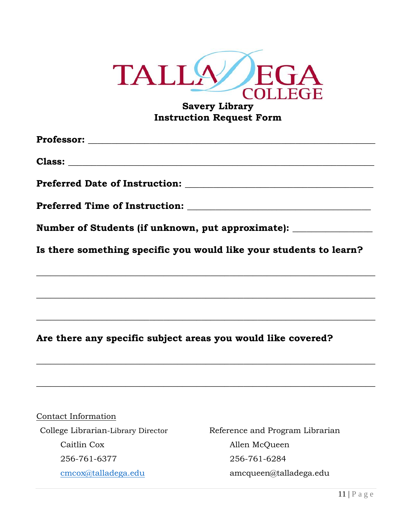

#### **Savery Library Instruction Request Form**

**Professor: \_\_\_\_\_\_\_\_\_\_\_\_\_\_\_\_\_\_\_\_\_\_\_\_\_\_\_\_\_\_\_\_\_\_\_\_\_\_\_\_\_\_\_\_\_\_\_\_\_\_\_\_\_\_\_\_\_\_\_\_\_**

**Class: \_\_\_\_\_\_\_\_\_\_\_\_\_\_\_\_\_\_\_\_\_\_\_\_\_\_\_\_\_\_\_\_\_\_\_\_\_\_\_\_\_\_\_\_\_\_\_\_\_\_\_\_\_\_\_\_\_\_\_\_\_\_\_\_\_**

**Preferred Date of Instruction: \_\_\_\_\_\_\_\_\_\_\_\_\_\_\_\_\_\_\_\_\_\_\_\_\_\_\_\_\_\_\_\_\_\_\_\_\_\_\_\_**

**Preferred Time of Instruction:**  $\blacksquare$ 

**Number of Students (if unknown, put approximate): \_\_\_\_\_\_\_\_\_\_\_\_\_\_\_\_\_**

**Is there something specific you would like your students to learn?**

**\_\_\_\_\_\_\_\_\_\_\_\_\_\_\_\_\_\_\_\_\_\_\_\_\_\_\_\_\_\_\_\_\_\_\_\_\_\_\_\_\_\_\_\_\_\_\_\_\_\_\_\_\_\_\_\_\_\_\_\_\_\_\_\_\_\_\_\_\_\_\_\_**

**\_\_\_\_\_\_\_\_\_\_\_\_\_\_\_\_\_\_\_\_\_\_\_\_\_\_\_\_\_\_\_\_\_\_\_\_\_\_\_\_\_\_\_\_\_\_\_\_\_\_\_\_\_\_\_\_\_\_\_\_\_\_\_\_\_\_\_\_\_\_\_\_**

**\_\_\_\_\_\_\_\_\_\_\_\_\_\_\_\_\_\_\_\_\_\_\_\_\_\_\_\_\_\_\_\_\_\_\_\_\_\_\_\_\_\_\_\_\_\_\_\_\_\_\_\_\_\_\_\_\_\_\_\_\_\_\_\_\_\_\_\_\_\_\_\_**

**\_\_\_\_\_\_\_\_\_\_\_\_\_\_\_\_\_\_\_\_\_\_\_\_\_\_\_\_\_\_\_\_\_\_\_\_\_\_\_\_\_\_\_\_\_\_\_\_\_\_\_\_\_\_\_\_\_\_\_\_\_\_\_\_\_\_\_\_\_\_\_\_**

**\_\_\_\_\_\_\_\_\_\_\_\_\_\_\_\_\_\_\_\_\_\_\_\_\_\_\_\_\_\_\_\_\_\_\_\_\_\_\_\_\_\_\_\_\_\_\_\_\_\_\_\_\_\_\_\_\_\_\_\_\_\_\_\_\_\_\_\_\_\_\_\_**

**Are there any specific subject areas you would like covered?**

Contact Information Caitlin Cox Allen McQueen 256-761-6377 256-761-6284

College Librarian-Library Director Reference and Program Librarian [cmcox@talladega.edu](mailto:cmcox@talladega.edu) amcqueen@talladega.edu